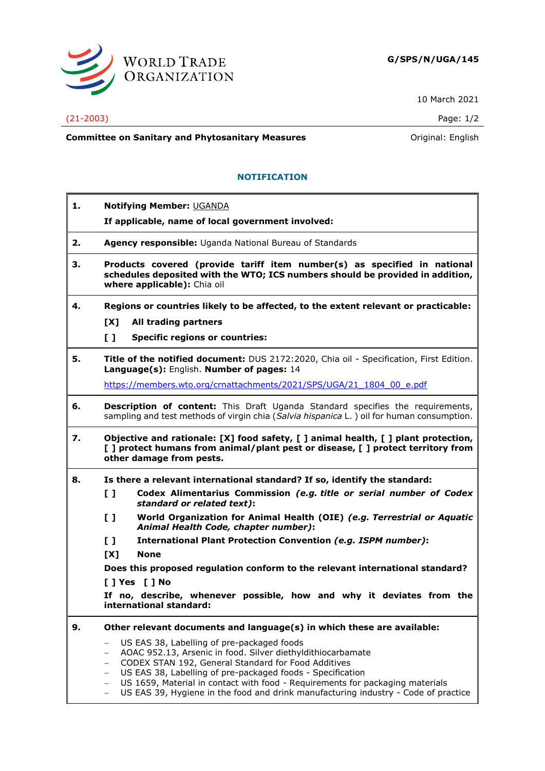

10 March 2021

## (21-2003) Page: 1/2

**Committee on Sanitary and Phytosanitary Measures Committee on Sanitary and Phytosanitary Measures Committee on Sanitary and Phytosanitary Measures** 

## **NOTIFICATION**

| 1. | <b>Notifying Member: UGANDA</b><br>If applicable, name of local government involved:                                                                                                                                                                                                                                                                                            |
|----|---------------------------------------------------------------------------------------------------------------------------------------------------------------------------------------------------------------------------------------------------------------------------------------------------------------------------------------------------------------------------------|
| 2. | Agency responsible: Uganda National Bureau of Standards                                                                                                                                                                                                                                                                                                                         |
| З. | Products covered (provide tariff item number(s) as specified in national<br>schedules deposited with the WTO; ICS numbers should be provided in addition,<br>where applicable): Chia oil                                                                                                                                                                                        |
| 4. | Regions or countries likely to be affected, to the extent relevant or practicable:                                                                                                                                                                                                                                                                                              |
|    | [X]<br>All trading partners                                                                                                                                                                                                                                                                                                                                                     |
|    | $\mathbf{L}$<br><b>Specific regions or countries:</b>                                                                                                                                                                                                                                                                                                                           |
| 5. | Title of the notified document: DUS 2172:2020, Chia oil - Specification, First Edition.<br>Language(s): English. Number of pages: 14                                                                                                                                                                                                                                            |
|    | https://members.wto.org/crnattachments/2021/SPS/UGA/21 1804 00 e.pdf                                                                                                                                                                                                                                                                                                            |
| 6. | <b>Description of content:</b> This Draft Uganda Standard specifies the requirements,<br>sampling and test methods of virgin chia (Salvia hispanica L.) oil for human consumption.                                                                                                                                                                                              |
| 7. | Objective and rationale: [X] food safety, [] animal health, [] plant protection,<br>[] protect humans from animal/plant pest or disease, [] protect territory from<br>other damage from pests.                                                                                                                                                                                  |
| 8. | Is there a relevant international standard? If so, identify the standard:                                                                                                                                                                                                                                                                                                       |
|    | $\mathbf{L}$<br>Codex Alimentarius Commission (e.g. title or serial number of Codex<br>standard or related text):                                                                                                                                                                                                                                                               |
|    | World Organization for Animal Health (OIE) (e.g. Terrestrial or Aquatic<br>$\mathbf{L}$<br>Animal Health Code, chapter number):                                                                                                                                                                                                                                                 |
|    | $\mathbf{L}$<br>International Plant Protection Convention (e.g. ISPM number):                                                                                                                                                                                                                                                                                                   |
|    | [X]<br><b>None</b>                                                                                                                                                                                                                                                                                                                                                              |
|    | Does this proposed regulation conform to the relevant international standard?<br>[ ] Yes [ ] No                                                                                                                                                                                                                                                                                 |
|    | If no, describe, whenever possible, how and why it deviates from the                                                                                                                                                                                                                                                                                                            |
|    | international standard:                                                                                                                                                                                                                                                                                                                                                         |
| 9. | Other relevant documents and language(s) in which these are available:                                                                                                                                                                                                                                                                                                          |
|    | US EAS 38, Labelling of pre-packaged foods<br>$\qquad \qquad -$<br>AOAC 952.13, Arsenic in food. Silver diethyldithiocarbamate<br>-<br>CODEX STAN 192, General Standard for Food Additives<br>-<br>US EAS 38, Labelling of pre-packaged foods - Specification<br>-<br>US 1659, Material in contact with food - Requirements for packaging materials<br>$\overline{\phantom{0}}$ |

− US EAS 39, Hygiene in the food and drink manufacturing industry - Code of practice